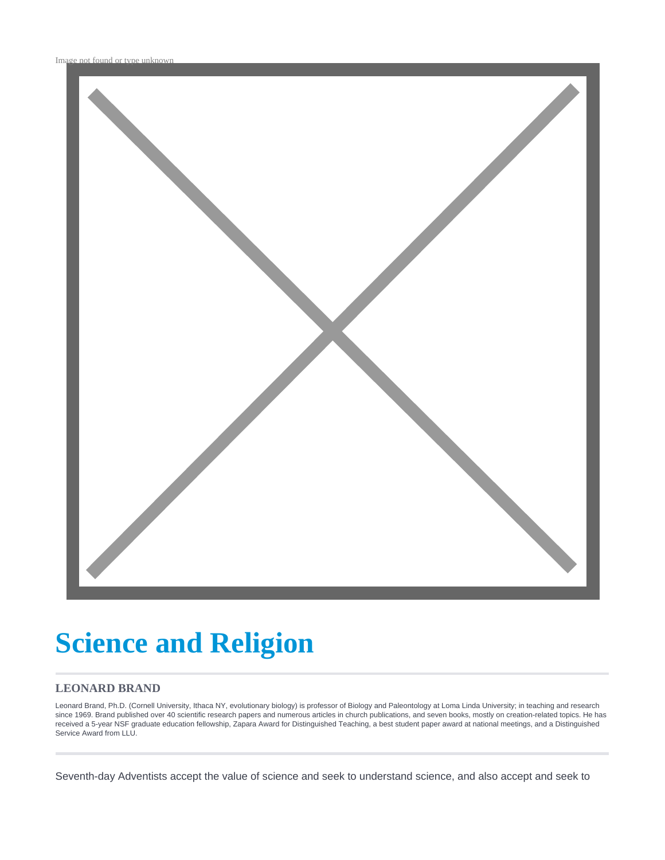

# **Science and Religion**

#### **LEONARD BRAND**

Leonard Brand, Ph.D. (Cornell University, Ithaca NY, evolutionary biology) is professor of Biology and Paleontology at Loma Linda University; in teaching and research since 1969. Brand published over 40 scientific research papers and numerous articles in church publications, and seven books, mostly on creation-related topics. He has received a 5-year NSF graduate education fellowship, Zapara Award for Distinguished Teaching, a best student paper award at national meetings, and a Distinguished Service Award from LLU.

Seventh-day Adventists accept the value of science and seek to understand science, and also accept and seek to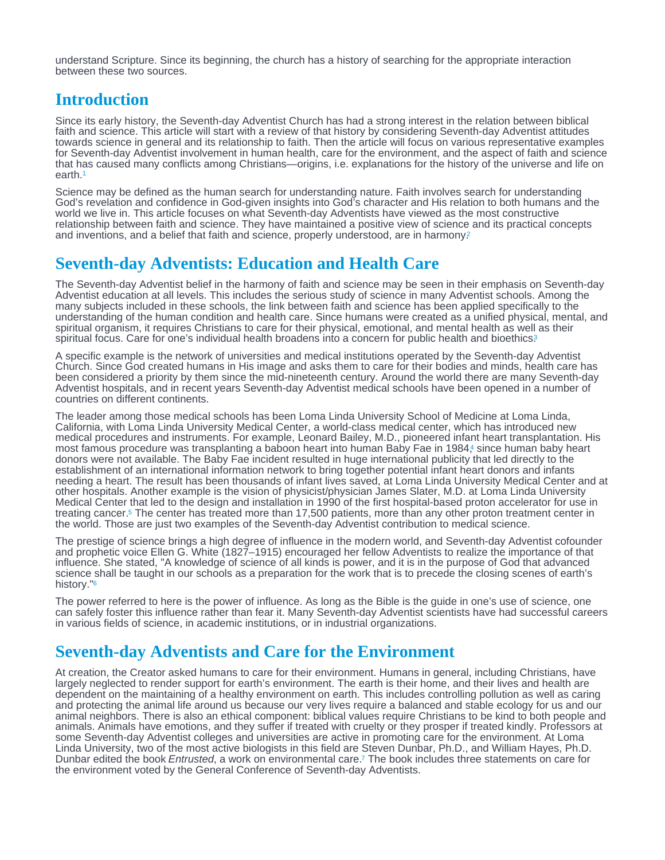<span id="page-1-0"></span>understand Scripture. Since its beginning, the church has a history of searching for the appropriate interaction between these two sources.

#### **Introduction**

Since its early history, the Seventh-day Adventist Church has had a strong interest in the relation between biblical faith and science. This article will start with a review of that history by considering Seventh-day Adventist attitudes towards science in general and its relationship to faith. Then the article will focus on various representative examples for Seventh-day Adventist involvement in human health, care for the environment, and the aspect of faith and science that has caused many conflicts among Christians—origins, i.e. explanations for the history of the universe and life on earth.[1](#page-8-0)

Science may be defined as the human search for understanding nature. Faith involves search for understanding God's revelation and confidence in God-given insights into God's character and His relation to both humans and the world we live in. This article focuses on what Seventh-day Adventists have viewed as the most constructive relationship between faith and science. They have maintained a positive view of science and its practical concepts and inventions, and a belief that faith and science, properly understood, are in harmony?

# Seventh-day Adventists: Education and Health Care

The Seventh-day Adventist belief in the harmony of faith and science may be seen in their emphasis on Seventh-day Adventist education at all levels. This includes the serious study of science in many Adventist schools. Among the many subjects included in these schools, the link between faith and science has been applied specifically to the understanding of the human condition and health care. Since humans were created as a unified physical, mental, and spiritual organism, it requires Christians to care for their physical, emotional, and mental health as well as their spiritual focus. Care for one's individual health broadens into a concern for public health and bioethics?

A specific example is the network of universities and medical institutions operated by the Seventh-day Adventist Church. Since God created humans in His image and asks them to care for their bodies and minds, health care has been considered a priority by them since the mid-nineteenth century. Around the world there are many Seventh-day Adventist hospitals, and in recent years Seventh-day Adventist medical schools have been opened in a number of countries on different continents.

The leader among those medical schools has been Loma Linda University School of Medicine at Loma Linda, California, with Loma Linda University Medical Center, a world-class medical center, which has introduced new medical procedures and instruments. For example, Leonard Bailey, M.D., pioneered infant heart transplantation. His most famous procedure was transplanting a baboon heart into human Baby Fae in 1984[,](#page-8-0)4 since human baby heart donors were not available. The Baby Fae incident resulted in huge international publicity that led directly to the establishment of an international information network to bring together potential infant heart donors and infants needing a heart. The result has been thousands of infant lives saved, at Loma Linda University Medical Center and at other hospitals. Another example is the vision of physicist/physician James Slater, M.D. at Loma Linda University Medical Center that led to the design and installation in 1990 of the first hospital-based proton accelerator for use in treating cancer.<sup>5</sup> The center has treated more than 17,500 patients, more than any other proton treatment center in the world. Those are just two examples of the Seventh-day Adventist contribution to medical science.

The prestige of science brings a high degree of influence in the modern world, and Seventh-day Adventist cofounder and prophetic voice Ellen G. White (1827–1915) encouraged her fellow Adventists to realize the importance of that influence. She stated, "A knowledge of science of all kinds is power, and it is in the purpose of God that advanced science shall be taught in our schools as a preparation for the work that is to precede the closing scenes of earth's history."<sup>6</sup>

The power referred to here is the power of influence. As long as the Bible is the guide in one's use of science, one can safely foster this influence rather than fear it. Many Seventh-day Adventist scientists have had successful careers in various fields of science, in academic institutions, or in industrial organizations.

## Seventh-day Adventists and Care for the Environment

At creation, the Creator asked humans to care for their environment. Humans in general, including Christians, have largely neglected to render support for earth's environment. The earth is their home, and their lives and health are dependent on the maintaining of a healthy environment on earth. This includes controlling pollution as well as caring and protecting the animal life around us because our very lives require a balanced and stable ecology for us and our animal neighbors. There is also an ethical component: biblical values require Christians to be kind to both people and animals. Animals have emotions, and they suffer if treated with cruelty or they prosper if treated kindly. Professors at some Seventh-day Adventist colleges and universities are active in promoting care for the environment. At Loma Linda University, two of the most active biologists in this field are Steven Dunbar, Ph.D., and William Hayes, Ph.D. Dunbar edited the book Entrusted, a work on environmental care[.](#page-9-0)<sup>7</sup> The book includes three statements on care for the environment voted by the General Conference of Seventh-day Adventists.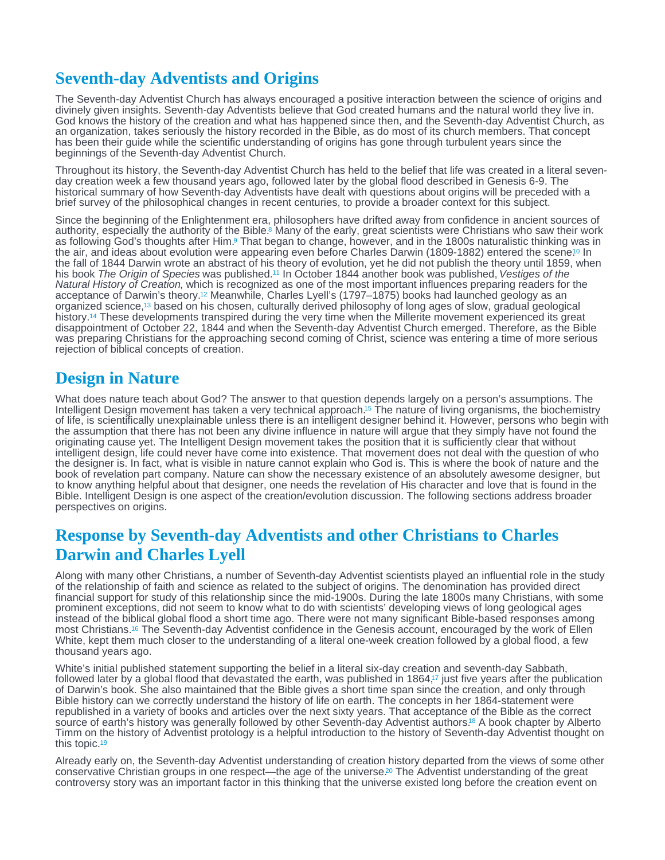# <span id="page-2-0"></span>Seventh-day Adventists and Origins

The Seventh-day Adventist Church has always encouraged a positive interaction between the science of origins and divinely given insights. Seventh-day Adventists believe that God created humans and the natural world they live in. God knows the history of the creation and what has happened since then, and the Seventh-day Adventist Church, as an organization, takes seriously the history recorded in the Bible, as do most of its church members. That concept has been their guide while the scientific understanding of origins has gone through turbulent years since the beginnings of the Seventh-day Adventist Church.

Throughout its history, the Seventh-day Adventist Church has held to the belief that life was created in a literal sevenday creation week a few thousand years ago, followed later by the global flood described in Genesis 6-9. The historical summary of how Seventh-day Adventists have dealt with questions about origins will be preceded with a brief survey of the philosophical changes in recent centuries, to provide a broader context for this subject.

Since the beginning of the Enlightenment era, philosophers have drifted away from confidence in ancient sources of authority, especially the authority of the Bible.<sup>8</sup> Many of the early, great scientists were Christians who saw their work as following God's thoughts after Him.<sup>9</sup> That began to change, however, and in the 1800s naturalistic thinking was in the air, and ideas about evolution were appearing even before Charles Darwin (1809-1882) entered the scene!<sup>0</sup> In the fall of 1844 Darwin wrote an abstract of his theory of evolution, yet he did not publish the theory until 1859, when his book The Origin of Species was published.<sup>11</sup> In October 1844 another book was published, Vestiges of the Natural History of Creation, which is recognized as one of the most important influences preparing readers for the acceptance of Darwin's theory.12 Meanwhile, Charles Lyell's (1797–1875) books had launched geology as an organized science,<sup>13</sup> based on his chosen[,](#page-9-0) culturally derived philosophy of long ages of slow, gradual geological history[.](#page-9-0)<sup>14</sup> These developments transpired during the very time when the Millerite movement experienced its great disappointment of October 22, 1844 and when the Seventh-day Adventist Church emerged. Therefore, as the Bible was preparing Christians for the approaching second coming of Christ, science was entering a time of more serious rejection of biblical concepts of creation.

#### Design in Nature

What does nature teach about God? The answer to that question depends largely on a person's assumptions. The Intelligent Design movement has taken a very technical approach[.](#page-9-0)<sup>15</sup> The nature of living organisms, the biochemistry of life, is scientifically unexplainable unless there is an intelligent designer behind it. However, persons who begin with the assumption that there has not been any divine influence in nature will argue that they simply have not found the originating cause yet. The Intelligent Design movement takes the position that it is sufficiently clear that without intelligent design, life could never have come into existence. That movement does not deal with the question of who the designer is. In fact, what is visible in nature cannot explain who God is. This is where the book of nature and the book of revelation part company. Nature can show the necessary existence of an absolutely awesome designer, but to know anything helpful about that designer, one needs the revelation of His character and love that is found in the Bible. Intelligent Design is one aspect of the creation/evolution discussion. The following sections address broader perspectives on origins.

## Response by Seventh-day Adventists and other Christians to Charles Darwin and Charles Lyell

Along with many other Christians, a number of Seventh-day Adventist scientists played an influential role in the study of the relationship of faith and science as related to the subject of origins. The denomination has provided direct financial support for study of this relationship since the mid-1900s. During the late 1800s many Christians, with some prominent exceptions, did not seem to know what to do with scientists' developing views of long geological ages instead of the biblical global flood a short time ago. There were not many significant Bible-based responses among most Christians.<sup>16</sup> The Seventh-day Adventist confidence in the Genesis account, encouraged by the work of Ellen White, kept them much closer to the understanding of a literal one-week creation followed by a global flood, a few thousand years ago.

White's initial published statement supporting the belief in a literal six-day creation and seventh-day Sabbath, followed later by a global flood that devastated the earth[,](#page-9-0) was published in 1864,<sup> $7$ </sup> just five years after the publication of Darwin's book. She also maintained that the Bible gives a short time span since the creation, and only through Bible history can we correctly understand the history of life on earth. The concepts in her 1864-statement were republished in a variety of books and articles over the next sixty years. That acceptance of the Bible as the correct source of earth's history was generally followed by other Seventh-day Adventist authors[.](#page-9-0)<sup>18</sup> A book chapter by Alberto Timm on the history of Adventist protology is a helpful introduction to the history of Seventh-day Adventist thought on this topic.<sup>[19](#page-9-0)</sup>

Already early on, the Seventh-day Adventist understanding of creation history departed from the views of some other conservative Christian groups in one respect—the age of the universe.<sup>20</sup> The Adventist understanding of the great controversy story was an important factor in this thinking that the universe existed long before the creation event on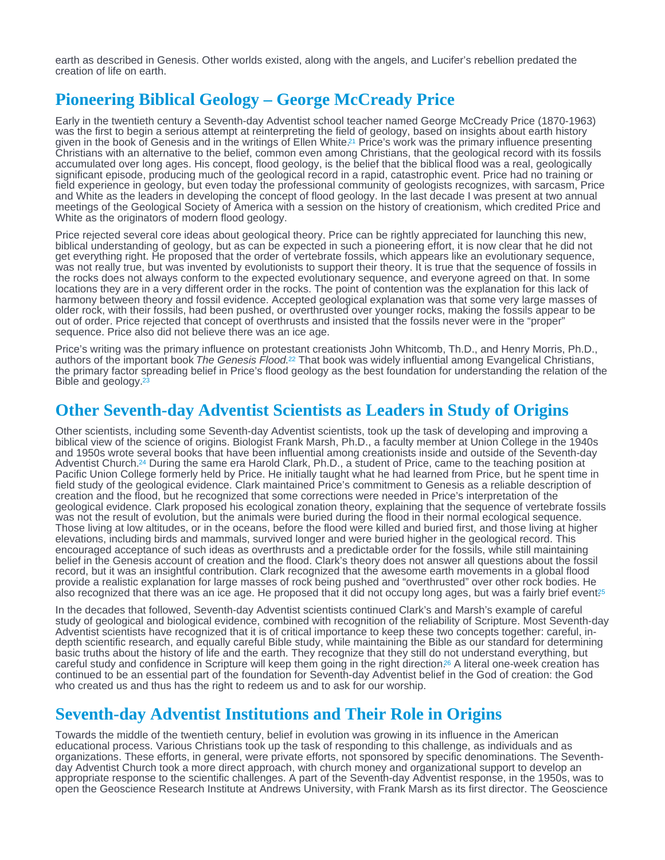<span id="page-3-0"></span>earth as described in Genesis. Other worlds existed, along with the angels, and Lucifer's rebellion predated the creation of life on earth.

# Pioneering Biblical Geology – George McCready Price

Early in the twentieth century a Seventh-day Adventist school teacher named George McCready Price (1870-1963) was the first to begin a serious attempt at reinterpreting the field of geology, based on insights about earth history given in the book of Genesis and in the writings of Ellen White.<sup>21</sup> Price's work was the primary influence presenting Christians with an alternative to the belief, common even among Christians, that the geological record with its fossils accumulated over long ages. His concept, flood geology, is the belief that the biblical flood was a real, geologically significant episode, producing much of the geological record in a rapid, catastrophic event. Price had no training or field experience in geology, but even today the professional community of geologists recognizes, with sarcasm, Price and White as the leaders in developing the concept of flood geology. In the last decade I was present at two annual meetings of the Geological Society of America with a session on the history of creationism, which credited Price and White as the originators of modern flood geology.

Price rejected several core ideas about geological theory. Price can be rightly appreciated for launching this new, biblical understanding of geology, but as can be expected in such a pioneering effort, it is now clear that he did not get everything right. He proposed that the order of vertebrate fossils, which appears like an evolutionary sequence, was not really true, but was invented by evolutionists to support their theory. It is true that the sequence of fossils in the rocks does not always conform to the expected evolutionary sequence, and everyone agreed on that. In some locations they are in a very different order in the rocks. The point of contention was the explanation for this lack of harmony between theory and fossil evidence. Accepted geological explanation was that some very large masses of older rock, with their fossils, had been pushed, or overthrusted over younger rocks, making the fossils appear to be out of order. Price rejected that concept of overthrusts and insisted that the fossils never were in the "proper" sequence. Price also did not believe there was an ice age.

Price's writing was the primary influence on protestant creationists John Whitcomb, Th.D., and Henry Morris, Ph.D., authors of the important book The Genesis Flood.<sup>22</sup> That book was widely influential among Evangelical Christians, the primary factor spreading belief in Price's flood geology as the best foundation for understanding the relation of the Bible and geology<sup>[23](#page-9-0)</sup>

#### Other Seventh-day Adventist Scientists as Leaders in Study of Origins

Other scientists, including some Seventh-day Adventist scientists, took up the task of developing and improving a biblical view of the science of origins. Biologist Frank Marsh, Ph.D., a faculty member at Union College in the 1940s and 1950s wrote several books that have been influential among creationists inside and outside of the Seventh-day Adventist Church.<sup>24</sup> During the same era Harold Clark, Ph.D., a student of Price, came to the teaching position at Pacific Union College formerly held by Price. He initially taught what he had learned from Price, but he spent time in field study of the geological evidence. Clark maintained Price's commitment to Genesis as a reliable description of creation and the flood, but he recognized that some corrections were needed in Price's interpretation of the geological evidence. Clark proposed his ecological zonation theory, explaining that the sequence of vertebrate fossils was not the result of evolution, but the animals were buried during the flood in their normal ecological sequence. Those living at low altitudes, or in the oceans, before the flood were killed and buried first, and those living at higher elevations, including birds and mammals, survived longer and were buried higher in the geological record. This encouraged acceptance of such ideas as overthrusts and a predictable order for the fossils, while still maintaining belief in the Genesis account of creation and the flood. Clark's theory does not answer all questions about the fossil record, but it was an insightful contribution. Clark recognized that the awesome earth movements in a global flood provide a realistic explanation for large masses of rock being pushed and "overthrusted" over other rock bodies. He also recognized that there was an ice age. He proposed that it did not occupy long ages, but was a fairly brief event?<sup>5</sup>

In the decades that followed, Seventh-day Adventist scientists continued Clark's and Marsh's example of careful study of geological and biological evidence, combined with recognition of the reliability of Scripture. Most Seventh-day Adventist scientists have recognized that it is of critical importance to keep these two concepts together: careful, indepth scientific research, and equally careful Bible study, while maintaining the Bible as our standard for determining basic truths about the history of life and the earth. They recognize that they still do not understand everything, but careful study and confidence in Scripture will keep them going in the right direction[.](#page-9-0)<sup>26</sup> A literal one-week creation has continued to be an essential part of the foundation for Seventh-day Adventist belief in the God of creation: the God who created us and thus has the right to redeem us and to ask for our worship.

#### Seventh-day Adventist Institutions and Their Role in Origins

Towards the middle of the twentieth century, belief in evolution was growing in its influence in the American educational process. Various Christians took up the task of responding to this challenge, as individuals and as organizations. These efforts, in general, were private efforts, not sponsored by specific denominations. The Seventhday Adventist Church took a more direct approach, with church money and organizational support to develop an appropriate response to the scientific challenges. A part of the Seventh-day Adventist response, in the 1950s, was to open the Geoscience Research Institute at Andrews University, with Frank Marsh as its first director. The Geoscience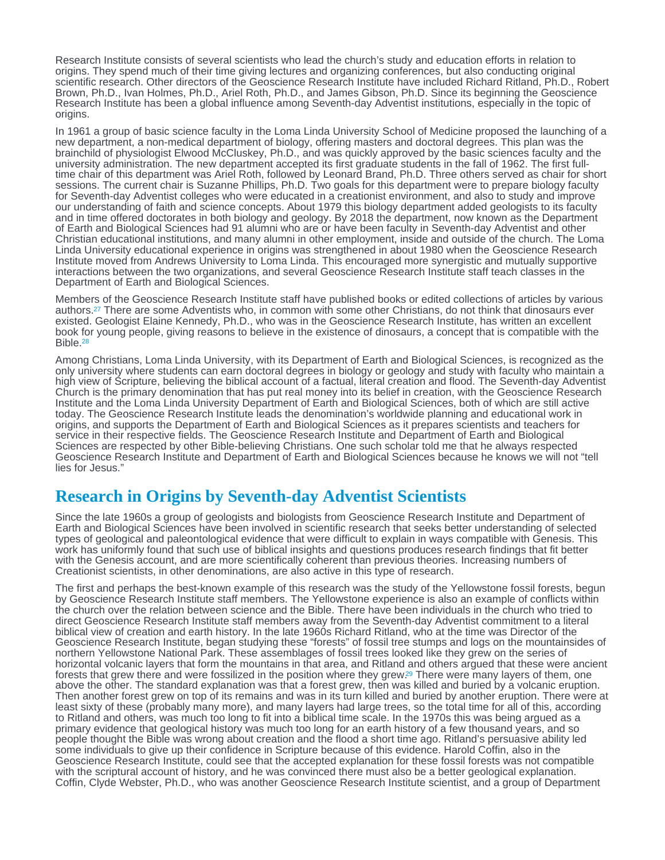<span id="page-4-0"></span>Research Institute consists of several scientists who lead the church's study and education efforts in relation to origins. They spend much of their time giving lectures and organizing conferences, but also conducting original scientific research. Other directors of the Geoscience Research Institute have included Richard Ritland, Ph.D., Robert Brown, Ph.D., Ivan Holmes, Ph.D., Ariel Roth, Ph.D., and James Gibson, Ph.D. Since its beginning the Geoscience Research Institute has been a global influence among Seventh-day Adventist institutions, especially in the topic of origins.

In 1961 a group of basic science faculty in the Loma Linda University School of Medicine proposed the launching of a new department, a non-medical department of biology, offering masters and doctoral degrees. This plan was the brainchild of physiologist Elwood McCluskey, Ph.D., and was quickly approved by the basic sciences faculty and the university administration. The new department accepted its first graduate students in the fall of 1962. The first fulltime chair of this department was Ariel Roth, followed by Leonard Brand, Ph.D. Three others served as chair for short sessions. The current chair is Suzanne Phillips, Ph.D. Two goals for this department were to prepare biology faculty for Seventh-day Adventist colleges who were educated in a creationist environment, and also to study and improve our understanding of faith and science concepts. About 1979 this biology department added geologists to its faculty and in time offered doctorates in both biology and geology. By 2018 the department, now known as the Department of Earth and Biological Sciences had 91 alumni who are or have been faculty in Seventh-day Adventist and other Christian educational institutions, and many alumni in other employment, inside and outside of the church. The Loma Linda University educational experience in origins was strengthened in about 1980 when the Geoscience Research Institute moved from Andrews University to Loma Linda. This encouraged more synergistic and mutually supportive interactions between the two organizations, and several Geoscience Research Institute staff teach classes in the Department of Earth and Biological Sciences.

Members of the Geoscience Research Institute staff have published books or edited collections of articles by various authors.<sup>27</sup> There are some Adventists who, in common with some other Christians, do not think that dinosaurs ever existed. Geologist Elaine Kennedy, Ph.D., who was in the Geoscience Research Institute, has written an excellent book for young people, giving reasons to believe in the existence of dinosaurs, a concept that is compatible with the Bible. [28](#page-9-0)

Among Christians, Loma Linda University, with its Department of Earth and Biological Sciences, is recognized as the only university where students can earn doctoral degrees in biology or geology and study with faculty who maintain a high view of Scripture, believing the biblical account of a factual, literal creation and flood. The Seventh-day Adventist Church is the primary denomination that has put real money into its belief in creation, with the Geoscience Research Institute and the Loma Linda University Department of Earth and Biological Sciences, both of which are still active today. The Geoscience Research Institute leads the denomination's worldwide planning and educational work in origins, and supports the Department of Earth and Biological Sciences as it prepares scientists and teachers for service in their respective fields. The Geoscience Research Institute and Department of Earth and Biological Sciences are respected by other Bible-believing Christians. One such scholar told me that he always respected Geoscience Research Institute and Department of Earth and Biological Sciences because he knows we will not "tell lies for Jesus."

## Research in Origins by Seventh-day Adventist Scientists

Since the late 1960s a group of geologists and biologists from Geoscience Research Institute and Department of Earth and Biological Sciences have been involved in scientific research that seeks better understanding of selected types of geological and paleontological evidence that were difficult to explain in ways compatible with Genesis. This work has uniformly found that such use of biblical insights and questions produces research findings that fit better with the Genesis account, and are more scientifically coherent than previous theories. Increasing numbers of Creationist scientists, in other denominations, are also active in this type of research.

The first and perhaps the best-known example of this research was the study of the Yellowstone fossil forests, begun by Geoscience Research Institute staff members. The Yellowstone experience is also an example of conflicts within the church over the relation between science and the Bible. There have been individuals in the church who tried to direct Geoscience Research Institute staff members away from the Seventh-day Adventist commitment to a literal biblical view of creation and earth history. In the late 1960s Richard Ritland, who at the time was Director of the Geoscience Research Institute, began studying these "forests" of fossil tree stumps and logs on the mountainsides of northern Yellowstone National Park. These assemblages of fossil trees looked like they grew on the series of horizontal volcanic layers that form the mountains in that area, and Ritland and others argued that these were ancient forests that grew there and were fossilized in the position where they grew?<sup>9</sup> There were many layers of them, one above the other. The standard explanation was that a forest grew, then was killed and buried by a volcanic eruption. Then another forest grew on top of its remains and was in its turn killed and buried by another eruption. There were at least sixty of these (probably many more), and many layers had large trees, so the total time for all of this, according to Ritland and others, was much too long to fit into a biblical time scale. In the 1970s this was being argued as a primary evidence that geological history was much too long for an earth history of a few thousand years, and so people thought the Bible was wrong about creation and the flood a short time ago. Ritland's persuasive ability led some individuals to give up their confidence in Scripture because of this evidence. Harold Coffin, also in the Geoscience Research Institute, could see that the accepted explanation for these fossil forests was not compatible with the scriptural account of history, and he was convinced there must also be a better geological explanation. Coffin, Clyde Webster, Ph.D., who was another Geoscience Research Institute scientist, and a group of Department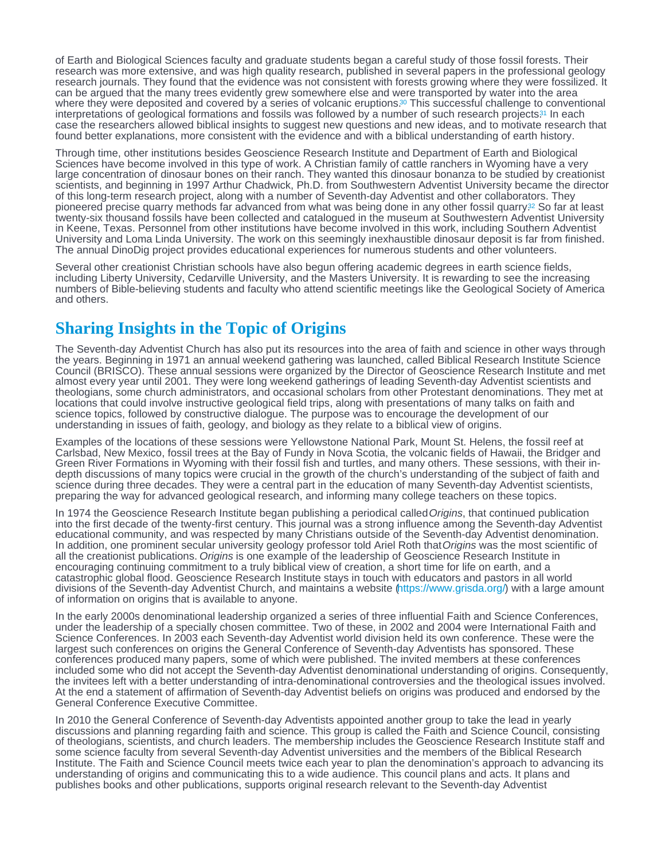<span id="page-5-0"></span>of Earth and Biological Sciences faculty and graduate students began a careful study of those fossil forests. Their research was more extensive, and was high quality research, published in several papers in the professional geology research journals. They found that the evidence was not consistent with forests growing where they were fossilized. It can be argued that the many trees evidently grew somewhere else and were transported by water into the area where they were deposited and covered by a series of volcanic eruptions.<sup>30</sup> This successful challenge to conventional interpretations of geological formations and fossils was followed by a number of such research projects.<sup>31</sup> In each case the researchers allowed biblical insights to suggest new questions and new ideas, and to motivate research that found better explanations, more consistent with the evidence and with a biblical understanding of earth history.

Through time, other institutions besides Geoscience Research Institute and Department of Earth and Biological Sciences have become involved in this type of work. A Christian family of cattle ranchers in Wyoming have a very large concentration of dinosaur bones on their ranch. They wanted this dinosaur bonanza to be studied by creationist scientists, and beginning in 1997 Arthur Chadwick, Ph.D. from Southwestern Adventist University became the director of this long-term research project, along with a number of Seventh-day Adventist and other collaborators. They pioneered precise quarry methods far advanced from what was being done in any other fossil quarry?<sup>2</sup> So far at least twenty-six thousand fossils have been collected and catalogued in the museum at Southwestern Adventist University in Keene, Texas. Personnel from other institutions have become involved in this work, including Southern Adventist University and Loma Linda University. The work on this seemingly inexhaustible dinosaur deposit is far from finished. The annual DinoDig project provides educational experiences for numerous students and other volunteers.

Several other creationist Christian schools have also begun offering academic degrees in earth science fields, including Liberty University, Cedarville University, and the Masters University. It is rewarding to see the increasing numbers of Bible-believing students and faculty who attend scientific meetings like the Geological Society of America and others.

## Sharing Insights in the Topic of Origins

The Seventh-day Adventist Church has also put its resources into the area of faith and science in other ways through the years. Beginning in 1971 an annual weekend gathering was launched, called Biblical Research Institute Science Council (BRISCO). These annual sessions were organized by the Director of Geoscience Research Institute and met almost every year until 2001. They were long weekend gatherings of leading Seventh-day Adventist scientists and theologians, some church administrators, and occasional scholars from other Protestant denominations. They met at locations that could involve instructive geological field trips, along with presentations of many talks on faith and science topics, followed by constructive dialogue. The purpose was to encourage the development of our understanding in issues of faith, geology, and biology as they relate to a biblical view of origins.

Examples of the locations of these sessions were Yellowstone National Park, Mount St. Helens, the fossil reef at Carlsbad, New Mexico, fossil trees at the Bay of Fundy in Nova Scotia, the volcanic fields of Hawaii, the Bridger and Green River Formations in Wyoming with their fossil fish and turtles, and many others. These sessions, with their indepth discussions of many topics were crucial in the growth of the church's understanding of the subject of faith and science during three decades. They were a central part in the education of many Seventh-day Adventist scientists, preparing the way for advanced geological research, and informing many college teachers on these topics.

In 1974 the Geoscience Research Institute began publishing a periodical called Origins, that continued publication into the first decade of the twenty-first century. This journal was a strong influence among the Seventh-day Adventist educational community, and was respected by many Christians outside of the Seventh-day Adventist denomination. In addition, one prominent secular university geology professor told Ariel Roth that Origins was the most scientific of all the creationist publications. Origins is one example of the leadership of Geoscience Research Institute in encouraging continuing commitment to a truly biblical view of creation, a short time for life on earth, and a catastrophic global flood. Geoscience Research Institute stays in touch with educators and pastors in all world divisions of the Seventh-day Adventist Church, and maintains a website (<https://www.grisda.org/>) with a large amount of information on origins that is available to anyone.

In the early 2000s denominational leadership organized a series of three influential Faith and Science Conferences, under the leadership of a specially chosen committee. Two of these, in 2002 and 2004 were International Faith and Science Conferences. In 2003 each Seventh-day Adventist world division held its own conference. These were the largest such conferences on origins the General Conference of Seventh-day Adventists has sponsored. These conferences produced many papers, some of which were published. The invited members at these conferences included some who did not accept the Seventh-day Adventist denominational understanding of origins. Consequently, the invitees left with a better understanding of intra-denominational controversies and the theological issues involved. At the end a statement of affirmation of Seventh-day Adventist beliefs on origins was produced and endorsed by the General Conference Executive Committee.

In 2010 the General Conference of Seventh-day Adventists appointed another group to take the lead in yearly discussions and planning regarding faith and science. This group is called the Faith and Science Council, consisting of theologians, scientists, and church leaders. The membership includes the Geoscience Research Institute staff and some science faculty from several Seventh-day Adventist universities and the members of the Biblical Research Institute. The Faith and Science Council meets twice each year to plan the denomination's approach to advancing its understanding of origins and communicating this to a wide audience. This council plans and acts. It plans and publishes books and other publications, supports original research relevant to the Seventh-day Adventist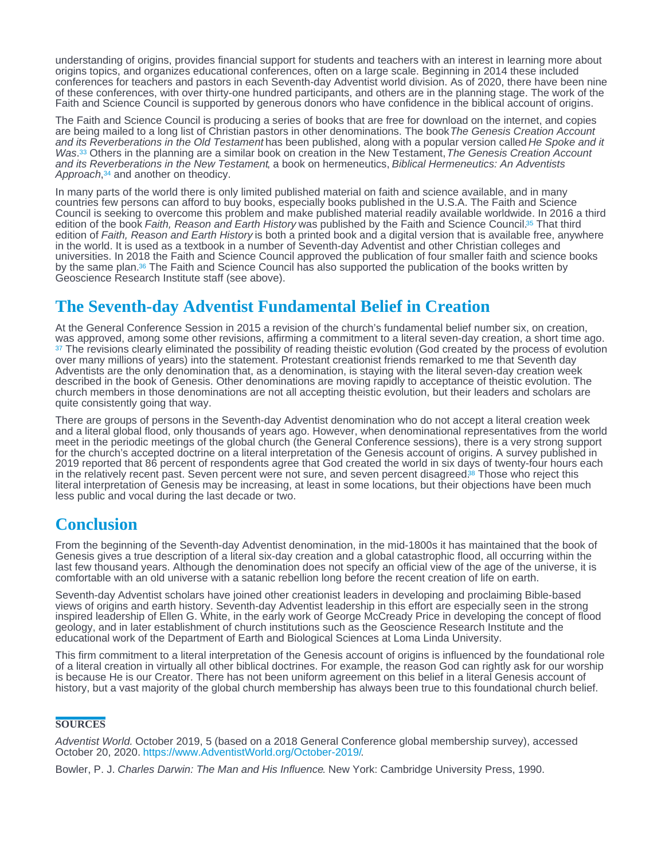<span id="page-6-0"></span>understanding of origins, provides financial support for students and teachers with an interest in learning more about origins topics, and organizes educational conferences, often on a large scale. Beginning in 2014 these included conferences for teachers and pastors in each Seventh-day Adventist world division. As of 2020, there have been nine of these conferences, with over thirty-one hundred participants, and others are in the planning stage. The work of the Faith and Science Council is supported by generous donors who have confidence in the biblical account of origins.

The Faith and Science Council is producing a series of books that are free for download on the internet, and copies are being mailed to a long list of Christian pastors in other denominations. The book The Genesis Creation Account and its Reverberations in the Old Testament has been published, along with a popular version called He Spoke and it Was.<sup>33</sup> Others in the planning are a similar book on creation in the New Testament, The Genesis Creation Account and its Reverberations in the New Testament, a book on hermeneutics, Biblical Hermeneutics: An Adventists Approach[,](#page-10-0) 34 and another on theodicy.

In many parts of the world there is only limited published material on faith and science available, and in many countries few persons can afford to buy books, especially books published in the U.S.A. The Faith and Science Council is seeking to overcome this problem and make published material readily available worldwide. In 2016 a third edition of the book Faith, Reason and Earth History was published by the Faith and Science Council[.](#page-10-0)<sup>35</sup> That third edition of Faith, Reason and Earth History is both a printed book and a digital version that is available free, anywhere in the world. It is used as a textbook in a number of Seventh-day Adventist and other Christian colleges and universities. In 2018 the Faith and Science Council approved the publication of four smaller faith and science books by the same plan.<sup>36</sup> The Faith and Science Council has also supported the publication of the books written by Geoscience Research Institute staff (see above).

# The Seventh-day Adventist Fundamental Belief in Creation

At the General Conference Session in 2015 a revision of the church's fundamental belief number six, on creation, was approved, among some other revisions, affirming a commitment to a literal seven-day creation, a short time ago. <sup>[37](#page-10-0)</sup> The revisions clearly eliminated the possibility of reading theistic evolution (God created by the process of evolution over many millions of years) into the statement. Protestant creationist friends remarked to me that Seventh day Adventists are the only denomination that, as a denomination, is staying with the literal seven-day creation week described in the book of Genesis. Other denominations are moving rapidly to acceptance of theistic evolution. The church members in those denominations are not all accepting theistic evolution, but their leaders and scholars are quite consistently going that way.

There are groups of persons in the Seventh-day Adventist denomination who do not accept a literal creation week and a literal global flood, only thousands of years ago. However, when denominational representatives from the world meet in the periodic meetings of the global church (the General Conference sessions), there is a very strong support for the church's accepted doctrine on a literal interpretation of the Genesis account of origins. A survey published in 2019 reported that 86 percent of respondents agree that God created the world in six days of twenty-four hours each in the relatively recent past[.](#page-10-0) Seven percent were not sure, and seven percent disagreed.<sup>38</sup> Those who reject this literal interpretation of Genesis may be increasing, at least in some locations, but their objections have been much less public and vocal during the last decade or two.

# **Conclusion**

From the beginning of the Seventh-day Adventist denomination, in the mid-1800s it has maintained that the book of Genesis gives a true description of a literal six-day creation and a global catastrophic flood, all occurring within the last few thousand years. Although the denomination does not specify an official view of the age of the universe, it is comfortable with an old universe with a satanic rebellion long before the recent creation of life on earth.

Seventh-day Adventist scholars have joined other creationist leaders in developing and proclaiming Bible-based views of origins and earth history. Seventh-day Adventist leadership in this effort are especially seen in the strong inspired leadership of Ellen G. White, in the early work of George McCready Price in developing the concept of flood geology, and in later establishment of church institutions such as the Geoscience Research Institute and the educational work of the Department of Earth and Biological Sciences at Loma Linda University.

This firm commitment to a literal interpretation of the Genesis account of origins is influenced by the foundational role of a literal creation in virtually all other biblical doctrines. For example, the reason God can rightly ask for our worship is because He is our Creator. There has not been uniform agreement on this belief in a literal Genesis account of history, but a vast majority of the global church membership has always been true to this foundational church belief.

#### **SOURCES**

Adventist World. October 2019, 5 (based on a 2018 General Conference global membership survey), accessed October 20, 2020.<https://www.AdventistWorld.org/October-2019/>.

Bowler, P. J. Charles Darwin: The Man and His Influence. New York: Cambridge University Press, 1990.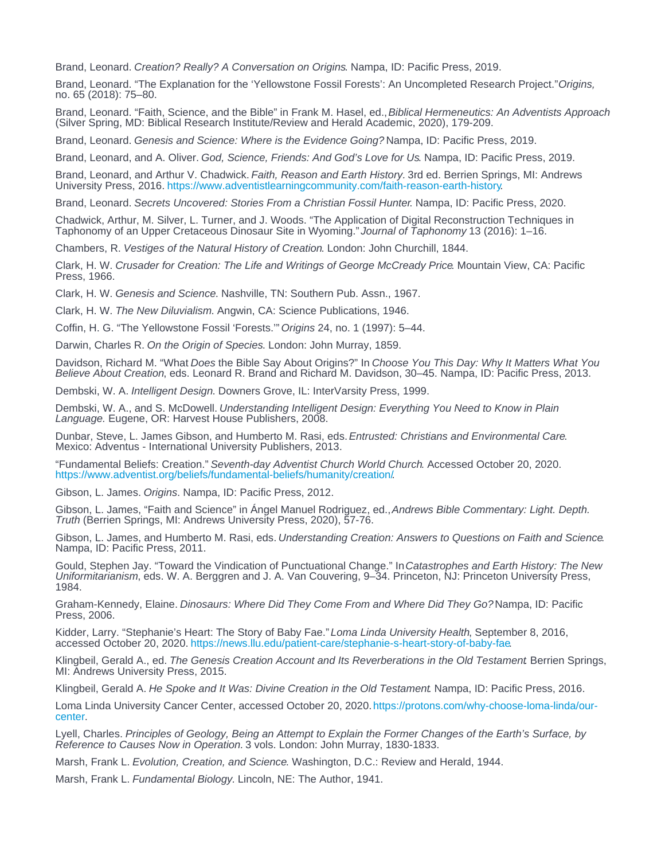Brand, Leonard. Creation? Really? A Conversation on Origins. Nampa, ID: Pacific Press, 2019.

Brand, Leonard. "The Explanation for the 'Yellowstone Fossil Forests': An Uncompleted Research Project." Origins, no. 65 (2018): 75–80.

Brand, Leonard. "Faith, Science, and the Bible" in Frank M. Hasel, ed., Biblical Hermeneutics: An Adventists Approach (Silver Spring, MD: Biblical Research Institute/Review and Herald Academic, 2020), 179-209.

Brand, Leonard. Genesis and Science: Where is the Evidence Going? Nampa, ID: Pacific Press, 2019.

Brand, Leonard, and A. Oliver. God, Science, Friends: And God's Love for Us. Nampa, ID: Pacific Press, 2019.

Brand, Leonard, and Arthur V. Chadwick. Faith, Reason and Earth History. 3rd ed. Berrien Springs, MI: Andrews University Press, 2016. [https://www.adventistlearningcommunity.com/faith-reason-earth-history.](https://www.adventistlearningcommunity.com/faith-reason-earth-history)

Brand, Leonard. Secrets Uncovered: Stories From a Christian Fossil Hunter. Nampa, ID: Pacific Press, 2020.

Chadwick, Arthur, M. Silver, L. Turner, and J. Woods. "The Application of Digital Reconstruction Techniques in Taphonomy of an Upper Cretaceous Dinosaur Site in Wyoming." Journal of Taphonomy 13 (2016): 1–16.

Chambers, R. Vestiges of the Natural History of Creation. London: John Churchill, 1844.

Clark, H. W. Crusader for Creation: The Life and Writings of George McCready Price. Mountain View, CA: Pacific Press, 1966.

Clark, H. W. Genesis and Science. Nashville, TN: Southern Pub. Assn., 1967.

Clark, H. W. The New Diluvialism. Angwin, CA: Science Publications, 1946.

Coffin, H. G. "The Yellowstone Fossil 'Forests.'" Origins 24, no. 1 (1997): 5–44.

Darwin, Charles R. On the Origin of Species. London: John Murray, 1859.

Davidson, Richard M. "What Does the Bible Say About Origins?" In Choose You This Day: Why It Matters What You Believe About Creation, eds. Leonard R. Brand and Richard M. Davidson, 30–45. Nampa, ID: Pacific Press, 2013.

Dembski, W. A. Intelligent Design. Downers Grove, IL: InterVarsity Press, 1999.

Dembski, W. A., and S. McDowell. Understanding Intelligent Design: Everything You Need to Know in Plain Language. Eugene, OR: Harvest House Publishers, 2008.

Dunbar, Steve, L. James Gibson, and Humberto M. Rasi, eds. Entrusted: Christians and Environmental Care. Mexico: Adventus - International University Publishers, 2013.

"Fundamental Beliefs: Creation." Seventh-day Adventist Church World Church. Accessed October 20, 2020. [https://www.adventist.org/beliefs/fundamental-beliefs/humanity/creation/.](https://www.adventist.org/beliefs/fundamental-beliefs/humanity/creation/)

Gibson, L. James. Origins. Nampa, ID: Pacific Press, 2012.

Gibson, L. James, "Faith and Science" in Ángel Manuel Rodriguez, ed., Andrews Bible Commentary: Light. Depth. Truth (Berrien Springs, MI: Andrews University Press, 2020), 57-76.

Gibson, L. James, and Humberto M. Rasi, eds. Understanding Creation: Answers to Questions on Faith and Science. Nampa, ID: Pacific Press, 2011.

Gould, Stephen Jay. "Toward the Vindication of Punctuational Change." In Catastrophes and Earth History: The New Uniformitarianism, eds. W. A. Berggren and J. A. Van Couvering, 9–34. Princeton, NJ: Princeton University Press, 1984.

Graham-Kennedy, Elaine. Dinosaurs: Where Did They Come From and Where Did They Go? Nampa, ID: Pacific Press, 2006.

Kidder, Larry. "Stephanie's Heart: The Story of Baby Fae." Loma Linda University Health, September 8, 2016, accessed October 20, 2020. [https://news.llu.edu/patient-care/stephanie-s-heart-story-of-baby-fae.](https://news.llu.edu/patient-care/stephanie-s-heart-story-of-baby-fae)

Klingbeil, Gerald A., ed. The Genesis Creation Account and Its Reverberations in the Old Testament. Berrien Springs, MI: Andrews University Press, 2015.

Klingbeil, Gerald A. He Spoke and It Was: Divine Creation in the Old Testament. Nampa, ID: Pacific Press, 2016.

Loma Linda University Cancer Center, accessed October 20, 2020. [https://protons.com/why-choose-loma-linda/our-](https://protons.com/why-choose-loma-linda/our-center). [center](https://protons.com/why-choose-loma-linda/our-center)

Lyell, Charles. Principles of Geology, Being an Attempt to Explain the Former Changes of the Earth's Surface, by Reference to Causes Now in Operation. 3 vols. London: John Murray, 1830-1833.

Marsh, Frank L. Evolution, Creation, and Science. Washington, D.C.: Review and Herald, 1944.

Marsh, Frank L. Fundamental Biology. Lincoln, NE: The Author, 1941.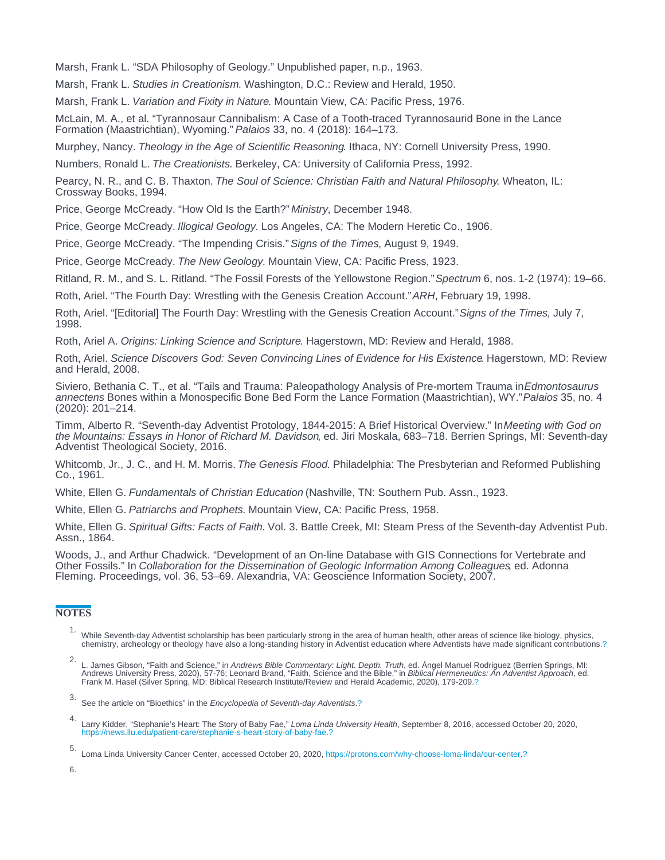<span id="page-8-0"></span>Marsh, Frank L. "SDA Philosophy of Geology." Unpublished paper, n.p., 1963.

Marsh, Frank L. Studies in Creationism. Washington, D.C.: Review and Herald, 1950.

Marsh, Frank L. Variation and Fixity in Nature. Mountain View, CA: Pacific Press, 1976.

McLain, M. A., et al. "Tyrannosaur Cannibalism: A Case of a Tooth-traced Tyrannosaurid Bone in the Lance Formation (Maastrichtian), Wyoming." Palaios 33, no. 4 (2018): 164–173.

Murphey, Nancy. Theology in the Age of Scientific Reasoning. Ithaca, NY: Cornell University Press, 1990.

Numbers, Ronald L. The Creationists. Berkeley, CA: University of California Press, 1992.

Pearcy, N. R., and C. B. Thaxton. The Soul of Science: Christian Faith and Natural Philosophy. Wheaton, IL: Crossway Books, 1994.

Price, George McCready. "How Old Is the Earth?" Ministry, December 1948.

Price, George McCready. Illogical Geology. Los Angeles, CA: The Modern Heretic Co., 1906.

Price, George McCready. "The Impending Crisis." Signs of the Times, August 9, 1949.

Price, George McCready. The New Geology. Mountain View, CA: Pacific Press, 1923.

Ritland, R. M., and S. L. Ritland. "The Fossil Forests of the Yellowstone Region." Spectrum 6, nos. 1-2 (1974): 19–66.

Roth, Ariel. "The Fourth Day: Wrestling with the Genesis Creation Account." ARH, February 19, 1998.

Roth, Ariel. "[Editorial] The Fourth Day: Wrestling with the Genesis Creation Account." Signs of the Times, July 7, 1998.

Roth, Ariel A. Origins: Linking Science and Scripture. Hagerstown, MD: Review and Herald, 1988.

Roth, Ariel. Science Discovers God: Seven Convincing Lines of Evidence for His Existence. Hagerstown, MD: Review and Herald, 2008.

Siviero, Bethania C. T., et al. "Tails and Trauma: Paleopathology Analysis of Pre-mortem Trauma in Edmontosaurus annectens Bones within a Monospecific Bone Bed Form the Lance Formation (Maastrichtian), WY." Palaios 35, no. 4 (2020): 201–214.

Timm, Alberto R. "Seventh-day Adventist Protology, 1844-2015: A Brief Historical Overview." In Meeting with God on the Mountains: Essays in Honor of Richard M. Davidson, ed. Jiri Moskala, 683–718. Berrien Springs, MI: Seventh-day Adventist Theological Society, 2016.

Whitcomb, Jr., J. C., and H. M. Morris. The Genesis Flood. Philadelphia: The Presbyterian and Reformed Publishing Co., 1961.

White, Ellen G. Fundamentals of Christian Education (Nashville, TN: Southern Pub. Assn., 1923.

White, Ellen G. Patriarchs and Prophets. Mountain View, CA: Pacific Press, 1958.

White, Ellen G. Spiritual Gifts: Facts of Faith. Vol. 3. Battle Creek, MI: Steam Press of the Seventh-day Adventist Pub. Assn., 1864.

Woods, J., and Arthur Chadwick. "Development of an On-line Database with GIS Connections for Vertebrate and Other Fossils." In Collaboration for the Dissemination of Geologic Information Among Colleagues, ed. Adonna Fleming. Proceedings, vol. 36, 53–69. Alexandria, VA: Geoscience Information Society, 2007.

#### **NOTES**

- 1. While Seventh-day Adventist scholarship has been particularly strong in the area of human health, other areas of science like biology, physics, chemistry, archeology or theology have also a long-standing history in Adventist education where Adventists have made significant contributions.[?](#page-1-0)
- 2. L. James Gibson, "Faith and Science," in Andrews Bible Commentary: Light. Depth. Truth, ed. Ángel Manuel Rodriguez (Berrien Springs, MI: Andrews University Press, 2020), 57-76; Leonard Brand, "Faith, Science and the Bible," in Biblical Hermeneutics: An Adventist Approach, ed. Frank M. Hasel (Silver Spring, MD: Biblical Research Institute/Review and Herald Academic, 2020), 179-209.[?](#page-1-0)

3. See the article on "Bioethics" in the Encyclopedia of Seventh-day Adventists[.?](#page-1-0)

4. Larry Kidder, "Stephanie's Heart: The Story of Baby Fae," Loma Linda University Health, September 8, 2016, accessed October 20, 2020, [https://news.llu.edu/patient-care/stephanie-s-heart-story-of-baby-fae.](https://news.llu.edu/patient-care/stephanie-s-heart-story-of-baby-fae)[?](#page-1-0)

<sup>5.</sup> Loma Linda University Cancer Center, accessed October 20, 2020,<https://protons.com/why-choose-loma-linda/our-center>[.?](#page-1-0)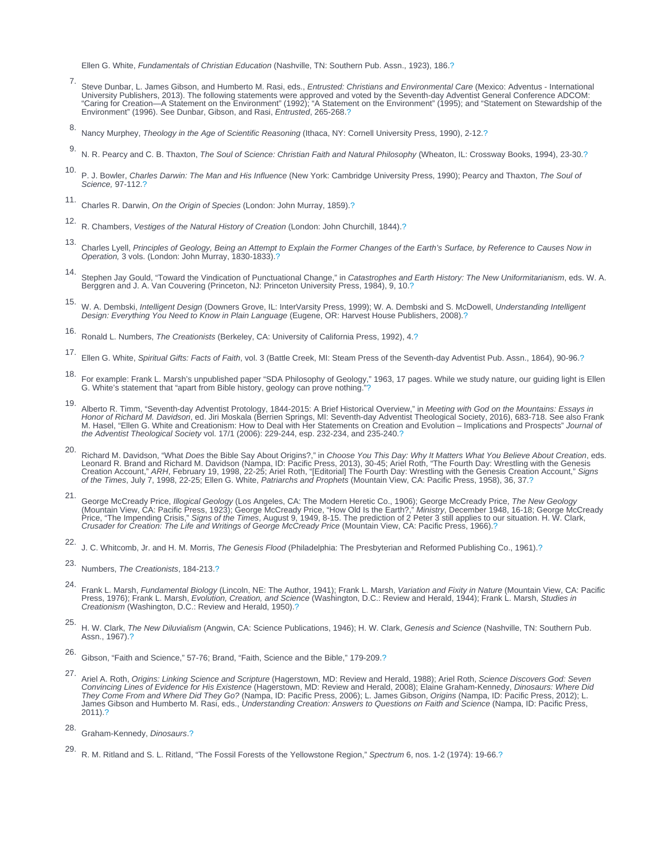<span id="page-9-0"></span>Ellen G. White, Fundamentals of Christian Education (Nashville, TN: Southern Pub. Assn., 1923), 186[.?](#page-1-0)

- 7. Steve Dunbar, L. James Gibson, and Humberto M. Rasi, eds., Entrusted: Christians and Environmental Care (Mexico: Adventus International University Publishers, 2013). The following statements were approved and voted by the Seventh-day Adventist General Conference ADCOM:<br>"Caring for Creation—A Statement on the Environment" (1992); "A Statement on the Environ
- 8. Nancy Murphey, Theology in the Age of Scientific Reasoning (Ithaca, NY: Cornell University Press, 1990), 2-12[.?](#page-2-0)
- 9. N. R. Pearcy and C. B. Thaxton, The Soul of Science: Christian Faith and Natural Philosophy (Wheaton, IL: Crossway Books, 1994), 23-30[.?](#page-2-0)
- 10. P. J. Bowler, Charles Darwin: The Man and His Influence (New York: Cambridge University Press, 1990); Pearcy and Thaxton, The Soul of Science, 97-112[.?](#page-2-0)
- 11. Charles R. Darwin, On the Origin of Species (London: John Murray, 1859).[?](#page-2-0)
- 12. R. Chambers, Vestiges of the Natural History of Creation (London: John Churchill, 1844)[.?](#page-2-0)
- 13. Charles Lyell, Principles of Geology, Being an Attempt to Explain the Former Changes of the Earth's Surface, by Reference to Causes Now in<br>Operation, 3 vols. (London: John Murray, 1830-1833).[?](#page-2-0)
- 14. Stephen Jay Gould, "Toward the Vindication of Punctuational Change," in Catastrophes and Earth History: The New Uniformitarianism, eds. W. A.<br>Berggren and J. A. Van Couvering (Princeton, NJ: Princeton University Press,
- 15.<br>W. A. Dembski, Intelligent Design (Downers Grove, IL: InterVarsity Press, 1999); W. A. Dembski and S. McDowell, Understanding Intelligent<br>Design: Everything You Need to Know in Plain Language (Eugene, OR: Harvest House
- 16. Ronald L. Numbers, The Creationists (Berkeley, CA: University of California Press, 1992), 4.[?](#page-2-0)
- 17. Ellen G. White, Spiritual Gifts: Facts of Faith, vol. 3 (Battle Creek, MI: Steam Press of the Seventh-day Adventist Pub. Assn., 1864), 90-96.[?](#page-2-0)
- 18. For example: Frank L. Marsh's unpublished paper "SDA Philosophy of Geology," 1963, 17 pages. While we study nature, our guiding light is Ellen G. White's statement that "apart from Bible history, geology can prove nothing."[?](#page-2-0)
- 19. Alberto R. Timm, "Seventh-day Adventist Protology, 1844-2015: A Brief Historical Overview," in Meeting with God on the Mountains: Essays in<br>Honor of Richard M. Davidson, ed. Jiri Moskala (Berrien Springs, MI: Seventh-d
- 20. Richard M. Davidson, "What Does the Bible Say About Origins?," in Choose You This Day: Why It Matters What You Believe About Creation, eds.<br>Leonard R. Brand and Richard M. Davidson (Nampa, ID: Pacific Press, 2013), 30-
- <sup>21.</sup> George McCready Price, Illogical Geology (Los Angeles, CA: The Modern Heretic Co., 1906); George McCready Price, The New Geology (Mountain View, CA: Pacific Press, 1923); George McCready Price, "How Old Is the Earth?
- 22. J. C. Whitcomb, Jr. and H. M. Morris, The Genesis Flood (Philadelphia: The Presbyterian and Reformed Publishing Co., 1961).[?](#page-3-0)
- 23. Numbers, The Creationists, 184-213.[?](#page-3-0)
- 24.<br>Frank L. Marsh, Fundamental Biology (Lincoln, NE: The Author, 1941); Frank L. Marsh, Variation and Fixity in Nature (Mountain View, CA: Pacific<br>Press, 1976); Frank L. Marsh, Evolution, Creation, and Science (Washington Creationism (Washington, D.C.: Review and Herald, 1950)[.?](#page-3-0)
- 25. H. W. Clark, The New Diluvialism (Angwin, CA: Science Publications, 1946); H. W. Clark, Genesis and Science (Nashville, TN: Southern Pub. Assn., 1967)[.?](#page-3-0)
- 26. Gibson, "Faith and Science," 57-76; Brand, "Faith, Science and the Bible," 179-209.[?](#page-3-0)
- 27.<br>Ariel A. Roth, Origins: Linking Science and Scripture (Hagerstown, MD: Review and Herald, 1988); Ariel Roth, Science Discovers God: Seven<br>Convincing Lines of Evidence for His Existence (Hagerstown, MD: Review and Heral They Come From and Where Did They Go? (Nampa, ID: Pacific Press, 2006); L. James Gibson, Origins (Nampa, ID: Pacific Press, 2012); L.<br>James Gibson and Humberto M. Rasi, eds., Understanding Creation: Answers to Questions on 2011)[.?](#page-4-0)
- 28. Graham-Kennedy, Dinosaurs[.?](#page-4-0)

<sup>29.</sup> R. M. Ritland and S. L. Ritland, "The Fossil Forests of the Yellowstone Region," Spectrum 6, nos. 1-2 (1974): 19-66.[?](#page-4-0)